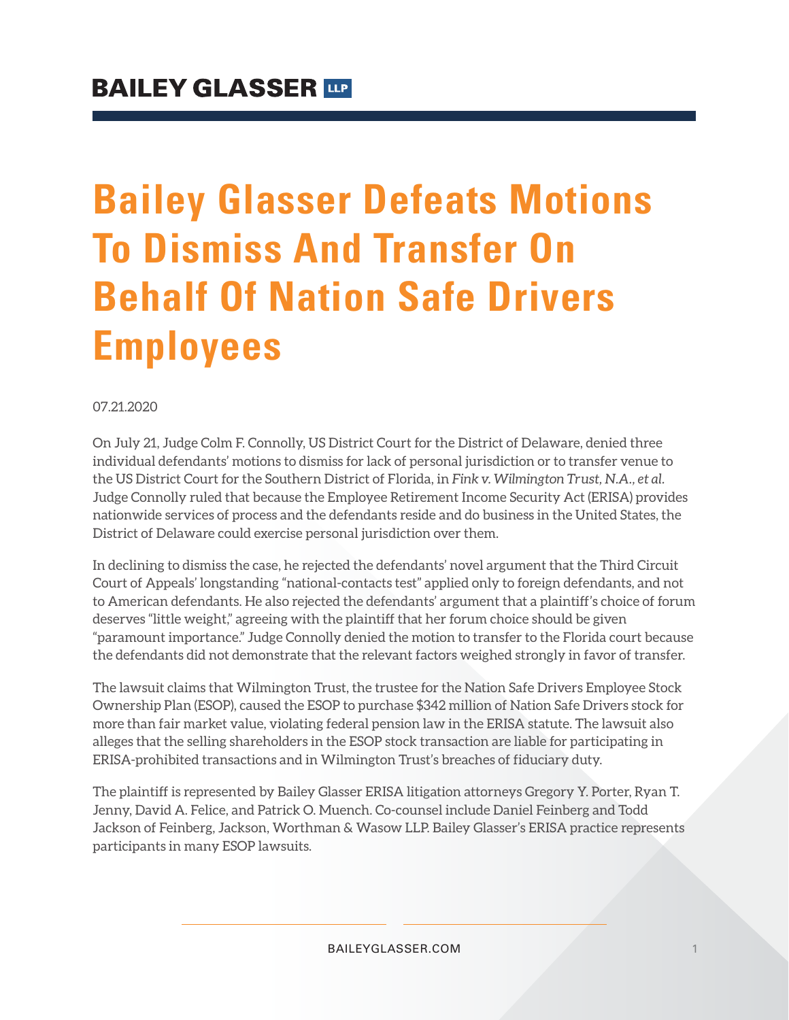# **Bailey Glasser Defeats Motions To Dismiss And Transfer On Behalf Of Nation Safe Drivers Employees**

07.21.2020

On July 21, Judge Colm F. Connolly, US District Court for the District of Delaware, denied three individual defendants' motions to dismiss for lack of personal jurisdiction or to transfer venue to the US District Court for the Southern District of Florida, in *Fink v. Wilmington Trust, N.A., et al.* Judge Connolly ruled that because the Employee Retirement Income Security Act (ERISA) provides nationwide services of process and the defendants reside and do business in the United States, the District of Delaware could exercise personal jurisdiction over them.

In declining to dismiss the case, he rejected the defendants' novel argument that the Third Circuit Court of Appeals' longstanding "national-contacts test" applied only to foreign defendants, and not to American defendants. He also rejected the defendants' argument that a plaintiff's choice of forum deserves "little weight," agreeing with the plaintiff that her forum choice should be given "paramount importance." Judge Connolly denied the motion to transfer to the Florida court because the defendants did not demonstrate that the relevant factors weighed strongly in favor of transfer.

The lawsuit claims that Wilmington Trust, the trustee for the Nation Safe Drivers Employee Stock Ownership Plan (ESOP), caused the ESOP to purchase \$342 million of Nation Safe Drivers stock for more than fair market value, violating federal pension law in the ERISA statute. The lawsuit also alleges that the selling shareholders in the ESOP stock transaction are liable for participating in ERISA-prohibited transactions and in Wilmington Trust's breaches of fiduciary duty.

The plaintiff is represented by Bailey Glasser ERISA litigation attorneys Gregory Y. Porter, Ryan T. Jenny, David A. Felice, and Patrick O. Muench. Co-counsel include Daniel Feinberg and Todd Jackson of Feinberg, Jackson, Worthman & Wasow LLP. Bailey Glasser's ERISA practice represents participants in many ESOP lawsuits.